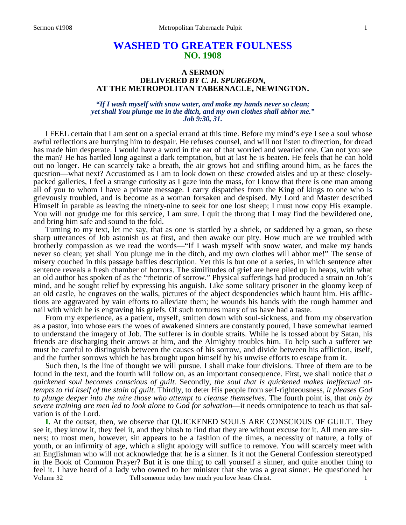# **WASHED TO GREATER FOULNESS NO. 1908**

## **A SERMON DELIVERED** *BY C. H. SPURGEON,* **AT THE METROPOLITAN TABERNACLE, NEWINGTON.**

## *"If I wash myself with snow water, and make my hands never so clean; yet shall You plunge me in the ditch, and my own clothes shall abhor me." Job 9:30, 31.*

 I FEEL certain that I am sent on a special errand at this time. Before my mind's eye I see a soul whose awful reflections are hurrying him to despair. He refuses counsel, and will not listen to direction, for dread has made him desperate. I would have a word in the ear of that worried and wearied one. Can not you see the man? He has battled long against a dark temptation, but at last he is beaten. He feels that he can hold out no longer. He can scarcely take a breath, the air grows hot and stifling around him, as he faces the question—what next? Accustomed as I am to look down on these crowded aisles and up at these closelypacked galleries, I feel a strange curiosity as I gaze into the mass, for I know that there is one man among all of you to whom I have a private message. I carry dispatches from the King of kings to one who is grievously troubled, and is become as a woman forsaken and despised. My Lord and Master described Himself in parable as leaving the ninety-nine to seek for one lost sheep; I must now copy His example. You will not grudge me for this service, I am sure. I quit the throng that I may find the bewildered one, and bring him safe and sound to the fold.

 Turning to my text, let me say, that as one is startled by a shriek, or saddened by a groan, so these sharp utterances of Job astonish us at first, and then awake our pity. How much are we troubled with brotherly compassion as we read the words—"If I wash myself with snow water, and make my hands never so clean; yet shall You plunge me in the ditch, and my own clothes will abhor me!" The sense of misery couched in this passage baffles description. Yet this is but one of a series, in which sentence after sentence reveals a fresh chamber of horrors. The similitudes of grief are here piled up in heaps, with what an old author has spoken of as the "rhetoric of sorrow." Physical sufferings had produced a strain on Job's mind, and he sought relief by expressing his anguish. Like some solitary prisoner in the gloomy keep of an old castle, he engraves on the walls, pictures of the abject despondencies which haunt him. His afflictions are aggravated by vain efforts to alleviate them; he wounds his hands with the rough hammer and nail with which he is engraving his griefs. Of such tortures many of us have had a taste.

 From my experience, as a patient, myself, smitten down with soul-sickness, and from my observation as a pastor, into whose ears the woes of awakened sinners are constantly poured, I have somewhat learned to understand the imagery of Job. The sufferer is in double straits. While he is tossed about by Satan, his friends are discharging their arrows at him, and the Almighty troubles him. To help such a sufferer we must be careful to distinguish between the causes of his sorrow, and divide between his affliction, itself, and the further sorrows which he has brought upon himself by his unwise efforts to escape from it.

 Such then, is the line of thought we will pursue. I shall make four divisions. Three of them are to be found in the text, and the fourth will follow on, as an important consequence. First, we shall notice that *a quickened soul becomes conscious of guilt.* Secondly, *the soul that is quickened makes ineffectual attempts to rid itself of the stain of guilt.* Thirdly, to deter His people from self-righteousness, *it pleases God to plunge deeper into the mire those who attempt to cleanse themselves.* The fourth point is, that *only by severe training are men led to look alone to God for salvation*—it needs omnipotence to teach us that salvation is of the Lord.

Volume 32 Tell someone today how much you love Jesus Christ. **I.** At the outset, then, we observe that QUICKENED SOULS ARE CONSCIOUS OF GUILT. They see it, they know it, they feel it, and they blush to find that they are without excuse for it. All men are sinners; to most men, however, sin appears to be a fashion of the times, a necessity of nature, a folly of youth, or an infirmity of age, which a slight apology will suffice to remove. You will scarcely meet with an Englishman who will not acknowledge that he is a sinner. Is it not the General Confession stereotyped in the Book of Common Prayer? But it is one thing to call yourself a sinner, and quite another thing to feel it. I have heard of a lady who owned to her minister that she was a great sinner. He questioned her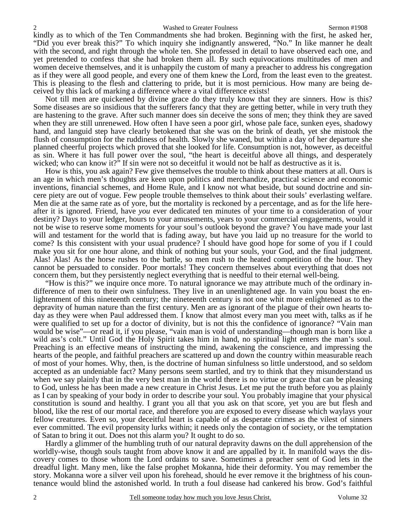kindly as to which of the Ten Commandments she had broken. Beginning with the first, he asked her, "Did you ever break this?" To which inquiry she indignantly answered, "No." In like manner he dealt with the second, and right through the whole ten. She professed in detail to have observed each one, and yet pretended to confess that she had broken them all. By such equivocations multitudes of men and women deceive themselves, and it is unhappily the custom of many a preacher to address his congregation as if they were all good people, and every one of them knew the Lord, from the least even to the greatest. This is pleasing to the flesh and clattering to pride, but it is most pernicious. How many are being deceived by this lack of marking a difference where a vital difference exists!

 Not till men are quickened by divine grace do they truly know that they are sinners. How is this? Some diseases are so insidious that the sufferers fancy that they are getting better, while in very truth they are hastening to the grave. After such manner does sin deceive the sons of men; they think they are saved when they are still unrenewed. How often I have seen a poor girl, whose pale face, sunken eyes, shadowy hand, and languid step have clearly betokened that she was on the brink of death, yet she mistook the flush of consumption for the ruddiness of health. Slowly she waned, but within a day of her departure she planned cheerful projects which proved that she looked for life. Consumption is not, however, as deceitful as sin. Where it has full power over the soul, "the heart is deceitful above all things, and desperately wicked; who can know it?" If sin were not so deceitful it would not be half as destructive as it is.

 How is this, you ask again? Few give themselves the trouble to think about these matters at all. Ours is an age in which men's thoughts are keen upon politics and merchandize, practical science and economic inventions, financial schemes, and Home Rule, and I know not what beside, but sound doctrine and sincere piety are out of vogue. Few people trouble themselves to think about their souls' everlasting welfare. Men die at the same rate as of yore, but the mortality is reckoned by a percentage, and as for the life hereafter it is ignored. Friend, have *you* ever dedicated ten minutes of your time to a consideration of your destiny? Days to your ledger, hours to your amusements, years to your commercial engagements, would it not be wise to reserve some moments for your soul's outlook beyond the grave? You have made your last will and testament for the world that is fading away, but have you laid up no treasure for the world to come? Is this consistent with your usual prudence? I should have good hope for some of you if I could make you sit for one hour alone, and think of nothing but your souls, your God, and the final judgment. Alas! Alas! As the horse rushes to the battle, so men rush to the heated competition of the hour. They cannot be persuaded to consider. Poor mortals! They concern themselves about everything that does not concern them, but they persistently neglect everything that is needful to their eternal well-being.

 "How is this?" we inquire once more. To natural ignorance we may attribute much of the ordinary indifference of men to their own sinfulness. They live in an unenlightened age. In vain you boast the enlightenment of this nineteenth century; the nineteenth century is not one whit more enlightened as to the depravity of human nature than the first century. Men are as ignorant of the plague of their own hearts today as they were when Paul addressed them. I know that almost every man you meet with, talks as if he were qualified to set up for a doctor of divinity, but is not this the confidence of ignorance? "Vain man would be wise"—or read it, if you please, "vain man is void of understanding—though man is born like a wild ass's colt." Until God the Holy Spirit takes him in hand, no spiritual light enters the man's soul. Preaching is an effective means of instructing the mind, awakening the conscience, and impressing the hearts of the people, and faithful preachers are scattered up and down the country within measurable reach of most of your homes. Why, then, is the doctrine of human sinfulness so little understood, and so seldom accepted as an undeniable fact? Many persons seem startled, and try to think that they misunderstand us when we say plainly that in the very best man in the world there is no virtue or grace that can be pleasing to God, unless he has been made a new creature in Christ Jesus. Let me put the truth before you as plainly as I can by speaking of your body in order to describe your soul. You probably imagine that your physical constitution is sound and healthy. I grant you all that you ask on that score, yet you are but flesh and blood, like the rest of our mortal race, and therefore you are exposed to every disease which waylays your fellow creatures. Even so, your deceitful heart is capable of as desperate crimes as the vilest of sinners ever committed. The evil propensity lurks within; it needs only the contagion of society, or the temptation of Satan to bring it out. Does not this alarm you? It ought to do so.

 Hardly a glimmer of the humbling truth of our natural depravity dawns on the dull apprehension of the worldly-wise, though souls taught from above know it and are appalled by it. In manifold ways the discovery comes to those whom the Lord ordains to save. Sometimes a preacher sent of God lets in the dreadful light. Many men, like the false prophet Mokanna, hide their deformity. You may remember the story. Mokanna wore a silver veil upon his forehead, should he ever remove it the brightness of his countenance would blind the astonished world. In truth a foul disease had cankered his brow. God's faithful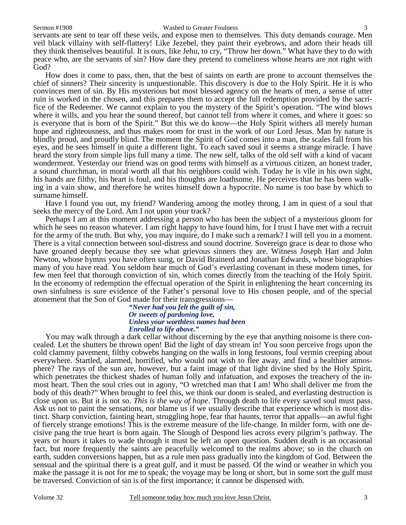### Sermon #1908 Washed to Greater Foulness

servants are sent to tear off these veils, and expose men to themselves. This duty demands courage. Men veil black villainy with self-flattery! Like Jezebel, they paint their eyebrows, and adorn their heads till they think themselves beautiful. It is ours, like Jehu, to cry, "Throw her down." What have they to do with peace who, are the servants of sin? How dare they pretend to comeliness whose hearts are not right with God?

 How does it come to pass, then, that the best of saints on earth are prone to account themselves the chief of sinners? Their sincerity is unquestionable. This discovery is due to the Holy Spirit. He it is who convinces men of sin. By His mysterious but most blessed agency on the hearts of men, a sense of utter ruin is worked in the chosen, and this prepares them to accept the full redemption provided by the sacrifice of the Redeemer. We cannot explain to you the mystery of the Spirit's operation. "The wind blows where it wills, and you hear the sound thereof, but cannot tell from where it comes, and where it goes: so is everyone that is born of the Spirit." But this we do know—the Holy Spirit withers all merely human hope and righteousness, and thus makes room for trust in the work of our Lord Jesus. Man by nature is blindly proud, and proudly blind. The moment the Spirit of God comes into a man, the scales fall from his eyes, and he sees himself in quite a different light. To each saved soul it seems a strange miracle. I have heard the story from simple lips full many a time. The new self, talks of the old self with a kind of vacant wonderment. Yesterday our friend was on good terms with himself as a virtuous citizen, an honest trader, a sound churchman, in moral worth all that his neighbors could wish. Today he is vile in his own sight, his hands are filthy, his heart is foul, and his thoughts are loathsome. He perceives that he has been walking in a vain show, and therefore he writes himself down a hypocrite. No name is too base by which to surname himself.

 Have I found you out, my friend? Wandering among the motley throng, I am in quest of a soul that seeks the mercy of the Lord. Am I not upon your track?

 Perhaps I am at this moment addressing a person who has been the subject of a mysterious gloom for which he sees no reason whatever. I am right happy to have found him, for I trust I have met with a recruit for the army of the truth. But why, you may inquire, do I make such a remark? I will tell you in a moment. There is a vital connection between soul-distress and sound doctrine. Sovereign grace is dear to those who have groaned deeply because they see what grievous sinners they are. Witness Joseph Hart and John Newton, whose hymns you have often sung, or David Brainerd and Jonathan Edwards, whose biographies many of you have read. You seldom hear much of God's everlasting covenant in these modern times, for few men feel that thorough conviction of sin, which comes directly from the teaching of the Holy Spirit. In the economy of redemption the effectual operation of the Spirit in enlightening the heart concerning its own sinfulness is sure evidence of the Father's personal love to His chosen people, and of the special atonement that the Son of God made for their transgressions—

## *"Never had you felt the guilt of sin, Or sweets of pardoning love, Unless your worthless names had been Enrolled to life above."*

You may walk through a dark cellar without discerning by the eye that anything noisome is there concealed. Let the shutters be thrown open! Bid the light of day stream in! You soon perceive frogs upon the cold clammy pavement, filthy cobwebs hanging on the walls in long festoons, foul vermin creeping about everywhere. Startled, alarmed, horrified, who would not wish to flee away, and find a healthier atmosphere? The rays of the sun are, however, but a faint image of that light divine shed by the Holy Spirit, which penetrates the thickest shades of human folly and infatuation, and exposes the treachery of the inmost heart. Then the soul cries out in agony, "O wretched man that I am! Who shall deliver me from the body of this death?" When brought to feel this, we think our doom is sealed, and everlasting destruction is close upon us. But it is not so. *This is the way of hope*. Through death to life every saved soul must pass. Ask us not to paint the sensations, nor blame us if we usually describe that experience which is most distinct. Sharp conviction, fainting heart, struggling hope, fear that haunts, terror that appalls—an awful fight of fiercely strange emotions! This is the extreme measure of the life-change. In milder form, with one decisive pang the true heart is born again. The Slough of Despond lies across every pilgrim's pathway. The years or hours it takes to wade through it must be left an open question. Sudden death is an occasional fact, but more frequently the saints are peacefully welcomed to the realms above; so in the church on earth, sudden conversions happen, but as a rule men pass gradually into the kingdom of God. Between the sensual and the spiritual there is a great gulf, and it must be passed. Of the wind or weather in which you make the passage it is not for me to speak; the voyage may be long or short, but in some sort the gulf must be traversed. Conviction of sin is of the first importance; it cannot be dispensed with.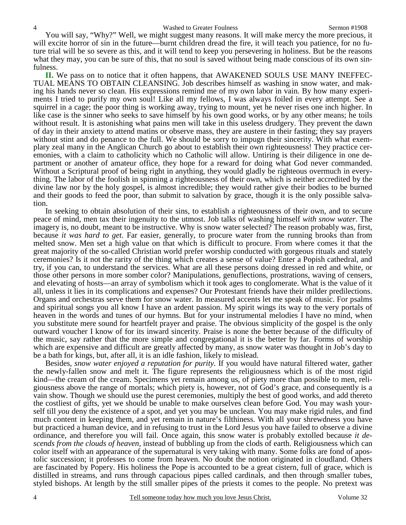#### 4 Washed to Greater Foulness Sermon #1908

 You will say, "Why?" Well, we might suggest many reasons. It will make mercy the more precious, it will excite horror of sin in the future—burnt children dread the fire, it will teach you patience, for no future trial will be so severe as this, and it will tend to keep you persevering in holiness. But be the reasons what they may, you can be sure of this, that no soul is saved without being made conscious of its own sinfulness.

**II.** We pass on to notice that it often happens, that AWAKENED SOULS USE MANY INEFFEC-TUAL MEANS TO OBTAIN CLEANSING. Job describes himself as washing in snow water, and making his hands never so clean. His expressions remind me of my own labor in vain. By how many experiments I tried to purify my own soul! Like all my fellows, I was always foiled in every attempt. See a squirrel in a cage; the poor thing is working away, trying to mount, yet he never rises one inch higher. In like case is the sinner who seeks to save himself by his own good works, or by any other means; he toils without result. It is astonishing what pains men will take in this useless drudgery. They prevent the dawn of day in their anxiety to attend matins or observe mass, they are austere in their fasting; they say prayers without stint and do penance to the full. We should be sorry to impugn their sincerity. With what exemplary zeal many in the Anglican Church go about to establish their own righteousness! They practice ceremonies, with a claim to catholicity which no Catholic will allow. Untiring is their diligence in one department or another of amateur office, they hope for a reward for doing what God never commanded. Without a Scriptural proof of being right in anything, they would gladly be righteous overmuch in everything. The labor of the foolish in spinning a righteousness of their own, which is neither accredited by the divine law nor by the holy gospel, is almost incredible; they would rather give their bodies to be burned and their goods to feed the poor, than submit to salvation by grace, though it is the only possible salvation.

 In seeking to obtain absolution of their sins, to establish a righteousness of their own, and to secure peace of mind, men tax their ingenuity to the utmost. Job talks of washing himself *with snow water*. The imagery is, no doubt, meant to be instructive. Why is snow water selected? The reason probably was, first, because *it was hard to get*. Far easier, generally, to procure water from the running brooks than from melted snow. Men set a high value on that which is difficult to procure. From where comes it that the great majority of the so-called Christian world prefer worship conducted with gorgeous rituals and stately ceremonies? Is it not the rarity of the thing which creates a sense of value? Enter a Popish cathedral, and try, if you can, to understand the services. What are all these persons doing dressed in red and white, or those other persons in more somber color? Manipulations, genuflections, prostrations, waving of censers, and elevating of hosts—an array of symbolism which it took ages to conglomerate. What is the value of it all, unless it lies in its complications and expenses? Our Protestant friends have their milder predilections. Organs and orchestras serve them for snow water. In measured accents let me speak of music. For psalms and spiritual songs you all know I have an ardent passion. My spirit wings its way to the very portals of heaven in the words and tunes of our hymns. But for your instrumental melodies I have no mind, when you substitute mere sound for heartfelt prayer and praise. The obvious simplicity of the gospel is the only outward voucher I know of for its inward sincerity. Praise is none the better because of the difficulty of the music, say rather that the more simple and congregational it is the better by far. Forms of worship which are expensive and difficult are greatly affected by many, as snow water was thought in Job's day to be a bath for kings, but, after all, it is an idle fashion, likely to mislead.

 Besides, *snow water enjoyed a reputation for purity.* If you would have natural filtered water, gather the newly-fallen snow and melt it. The figure represents the religiousness which is of the most rigid kind—the cream of the cream. Specimens yet remain among us, of piety more than possible to men, religiousness above the range of mortals; which piety is, however, not of God's grace, and consequently is a vain show. Though we should use the purest ceremonies, multiply the best of good works, and add thereto the costliest of gifts, yet we should be unable to make ourselves clean before God. You may wash yourself till *you* deny the existence of a spot, and yet you may be unclean. You may make rigid rules, and find much content in keeping them, and yet remain in nature's filthiness. With all your shrewdness you have but practiced a human device, and in refusing to trust in the Lord Jesus you have failed to observe a divine ordinance, and therefore you will fail. Once again, this snow water is probably extolled because *it descends from the clouds of heaven,* instead of bubbling up from the clods of earth. Religiousness which can color itself with an appearance of the supernatural is very taking with many. Some folks are fond of apostolic succession; it professes to come from heaven. No doubt the notion originated in cloudland. Others are fascinated by Popery. His holiness the Pope is accounted to be a great cistern, full of grace, which is distilled in streams, and runs through capacious pipes called cardinals, and then through smaller tubes, styled bishops. At length by the still smaller pipes of the priests it comes to the people. No pretext was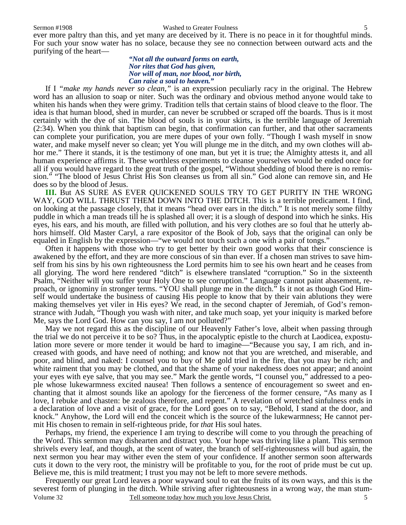#### Sermon #1908 Washed to Greater Foulness

ever more paltry than this, and yet many are deceived by it. There is no peace in it for thoughtful minds. For such your snow water has no solace, because they see no connection between outward acts and the purifying of the heart—

## *"Not all the outward forms on earth, Nor rites that God has given, Nor will of man, nor blood, nor birth, Can raise a soul to heaven."*

If I *"make my hands never so clean,"* is an expression peculiarly racy in the original. The Hebrew word has an allusion to soap or niter. Such was the ordinary and obvious method anyone would take to whiten his hands when they were grimy. Tradition tells that certain stains of blood cleave to the floor. The idea is that human blood, shed in murder, can never be scrubbed or scraped off the boards. Thus is it most certainly with the dye of sin. The blood of souls is in your skirts, is the terrible language of Jeremiah (2:34). When you think that baptism can begin, that confirmation can further, and that other sacraments can complete your purification, you are mere dupes of your own folly. "Though I wash myself in snow water, and make myself never so clean; yet You will plunge me in the ditch, and my own clothes will abhor me." There it stands, it is the testimony of one man, but yet it is true; the Almighty attests it, and all human experience affirms it. These worthless experiments to cleanse yourselves would be ended once for all if you would have regard to the great truth of the gospel, "Without shedding of blood there is no remission." "The blood of Jesus Christ His Son cleanses us from all sin." God alone can remove sin, and He does so by the blood of Jesus.

**III.** But AS SURE AS EVER QUICKENED SOULS TRY TO GET PURITY IN THE WRONG WAY, GOD WILL THRUST THEM DOWN INTO THE DITCH. This is a terrible predicament. I find, on looking at the passage closely, that it means "head over ears in the ditch." It is not merely some filthy puddle in which a man treads till he is splashed all over; it is a slough of despond into which he sinks. His eyes, his ears, and his mouth, are filled with pollution, and his very clothes are so foul that he utterly abhors himself. Old Master Caryl, a rare expositor of the Book of Job, says that the original can only be equaled in English by the expression—"we would not touch such a one with a pair of tongs."

 Often it happens with those who try to get better by their own good works that their conscience is awakened by the effort, and they are more conscious of sin than ever. If a chosen man strives to save himself from his sins by his own righteousness the Lord permits him to see his own heart and he ceases from all glorying. The word here rendered "ditch" is elsewhere translated "corruption." So in the sixteenth Psalm, "Neither will you suffer your Holy One to see corruption." Language cannot paint abasement, reproach, or ignominy in stronger terms. "YOU shall plunge me in the ditch." Is it not as though God Himself would undertake the business of causing His people to know that by their vain ablutions they were making themselves yet viler in His eyes? We read, in the second chapter of Jeremiah, of God's remonstrance with Judah, "Though you wash with niter, and take much soap, yet your iniquity is marked before Me, says the Lord God. How can you say, I am not polluted?"

 May we not regard this as the discipline of our Heavenly Father's love, albeit when passing through the trial we do not perceive it to be so? Thus, in the apocalyptic epistle to the church at Laodicea, expostulation more severe or more tender it would be hard to imagine—"Because you say, I am rich, and increased with goods, and have need of nothing; and know not that you are wretched, and miserable, and poor, and blind, and naked: I counsel you to buy of Me gold tried in the fire, that you may be rich; and white raiment that you may be clothed, and that the shame of your nakedness does not appear; and anoint your eyes with eye salve, that you may see." Mark the gentle words, "I counsel you," addressed to a people whose lukewarmness excited nausea! Then follows a sentence of encouragement so sweet and enchanting that it almost sounds like an apology for the fierceness of the former censure, "As many as I love, I rebuke and chasten: be zealous therefore, and repent." A revelation of wretched sinfulness ends in a declaration of love and a visit of grace, for the Lord goes on to say, "Behold, I stand at the door, and knock." Anyhow, the Lord will end the conceit which is the source of the lukewarmness; He cannot permit His chosen to remain in self-righteous pride, for *that* His soul hates.

 Perhaps, my friend, the experience I am trying to describe will come to you through the preaching of the Word. This sermon may dishearten and distract you. Your hope was thriving like a plant. This sermon shrivels every leaf, and though, at the scent of water, the branch of self-righteousness will bud again, the next sermon you hear may wither even the stem of your confidence. If another sermon soon afterwards cuts it down to the very root, the ministry will be profitable to you, for the root of pride must be cut up. Believe me, this is mild treatment; I trust you may not be left to more severe methods.

Volume 32 Tell someone today how much you love Jesus Christ. 5 Frequently our great Lord leaves a poor wayward soul to eat the fruits of its own ways, and this is the severest form of plunging in the ditch. While striving after righteousness in a wrong way, the man stum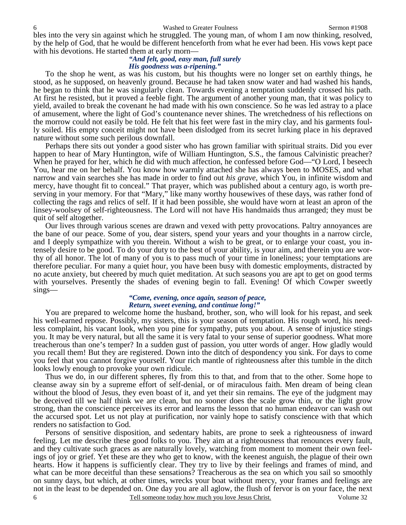bles into the very sin against which he struggled. The young man, of whom I am now thinking, resolved, by the help of God, that he would be different henceforth from what he ever had been. His vows kept pace with his devotions. He started them at early morn—

## *"And felt, good, easy man, full surely His goodness was a-ripening."*

To the shop he went, as was his custom, but his thoughts were no longer set on earthly things, he stood, as he supposed, on heavenly ground. Because he had taken snow water and had washed his hands, he began to think that he was singularly clean. Towards evening a temptation suddenly crossed his path. At first he resisted, but it proved a feeble fight. The argument of another young man, that it was policy to yield, availed to break the covenant he had made with his own conscience. So he was led astray to a place of amusement, where the light of God's countenance never shines. The wretchedness of his reflections on the morrow could not easily be told. He felt that his feet were fast in the miry clay, and his garments foully soiled. His empty conceit might not have been dislodged from its secret lurking place in his depraved nature without some such perilous downfall.

 Perhaps there sits out yonder a good sister who has grown familiar with spiritual straits. Did you ever happen to hear of Mary Huntington, wife of William Huntington, S.S., the famous Calvinistic preacher? When he prayed for her, which he did with much affection, he confessed before God—"O Lord, I beseech You, hear me on her behalf. You know how warmly attached she has always been to MOSES, and what narrow and vain searches she has made in order to find out *his grave,* which You, in infinite wisdom and mercy, have thought fit to conceal." That prayer, which was published about a century ago, is worth preserving in your memory. For that "Mary," like many worthy housewives of these days, was rather fond of collecting the rags and relics of self. If it had been possible, she would have worn at least an apron of the linsey-woolsey of self-righteousness. The Lord will not have His handmaids thus arranged; they must be quit of self altogether.

 Our lives through various scenes are drawn and vexed with petty provocations. Paltry annoyances are the bane of our peace. Some of you, dear sisters, spend your years and your thoughts in a narrow circle, and I deeply sympathize with you therein. Without a wish to be great, or to enlarge your coast, you intensely desire to be good. To do your duty to the best of your ability, is your aim, and therein you are worthy of all honor. The lot of many of you is to pass much of your time in loneliness; your temptations are therefore peculiar. For many a quiet hour, you have been busy with domestic employments, distracted by no acute anxiety, but cheered by much quiet meditation. At such seasons you are apt to get on good terms with yourselves. Presently the shades of evening begin to fall. Evening! Of which Cowper sweetly sings—

## *"Come, evening, once again, season of peace, Return, sweet evening, and continue long!"*

You are prepared to welcome home the husband, brother, son, who will look for his repast, and seek his well-earned repose. Possibly, my sisters, this is your season of temptation. His rough word, his needless complaint, his vacant look, when you pine for sympathy, puts you about. A sense of injustice stings you. It may be very natural, but all the same it is very fatal to your sense of superior goodness. What more treacherous than one's temper? In a sudden gust of passion, you utter words of anger. How gladly would you recall them! But they are registered. Down into the ditch of despondency you sink. For days to come you feel that you cannot forgive yourself. Your rich mantle of righteousness after this tumble in the ditch looks lowly enough to provoke your own ridicule.

 Thus we do, in our different spheres, fly from this to that, and from that to the other. Some hope to cleanse away sin by a supreme effort of self-denial, or of miraculous faith. Men dream of being clean without the blood of Jesus, they even boast of it, and yet their sin remains. The eye of the judgment may be deceived till we half think we are clean, but no sooner does the scale grow thin, or the light grow strong, than the conscience perceives its error and learns the lesson that no human endeavor can wash out the accursed spot. Let us not play at purification, nor vainly hope to satisfy conscience with that which renders no satisfaction to God.

6 Tell someone today how much you love Jesus Christ. Volume 32 Persons of sensitive disposition, and sedentary habits, are prone to seek a righteousness of inward feeling. Let me describe these good folks to you. They aim at a righteousness that renounces every fault, and they cultivate such graces as are naturally lovely, watching from moment to moment their own feelings of joy or grief. Yet these are they who get to know, with the keenest anguish, the plague of their own hearts. How it happens is sufficiently clear. They try to live by their feelings and frames of mind, and what can be more deceitful than these sensations? Treacherous as the sea on which you sail so smoothly on sunny days, but which, at other times, wrecks your boat without mercy, your frames and feelings are not in the least to be depended on. One day you are all aglow, the flush of fervor is on your face, the next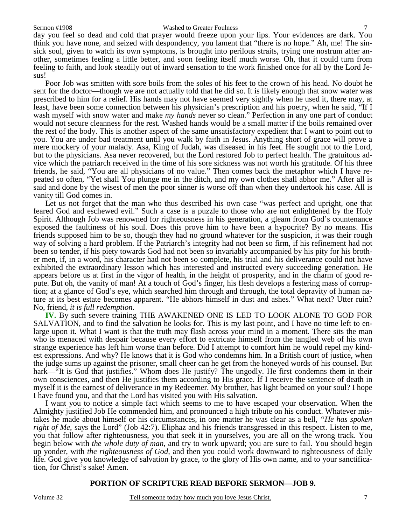### Sermon #1908 Washed to Greater Foulness

day you feel so dead and cold that prayer would freeze upon your lips. Your evidences are dark. You think you have none, and seized with despondency, you lament that "there is no hope." Ah, me! The sinsick soul, given to watch its own symptoms, is brought into perilous straits, trying one nostrum after another, sometimes feeling a little better, and soon feeling itself much worse. Oh, that it could turn from feeling to faith, and look steadily out of inward sensation to the work finished once for all by the Lord Jesus!

 Poor Job was smitten with sore boils from the soles of his feet to the crown of his head. No doubt he sent for the doctor—though we are not actually told that he did so. It is likely enough that snow water was prescribed to him for a relief. His hands may not have seemed very sightly when he used it, there may, at least, have been some connection between his physician's prescription and his poetry, when he said, "If I wash myself with snow water and make *my hands* never so clean." Perfection in any one part of conduct would not secure cleanness for the rest. Washed hands would be a small matter if the boils remained over the rest of the body. This is another aspect of the same unsatisfactory expedient that I want to point out to you. You are under bad treatment until you walk by faith in Jesus. Anything short of grace will prove a mere mockery of your malady. Asa, King of Judah, was diseased in his feet. He sought not to the Lord, but to the physicians. Asa never recovered, but the Lord restored Job to perfect health. The gratuitous advice which the patriarch received in the time of his sore sickness was not worth his gratitude. Of his three friends, he said, "You are all physicians of no value." Then comes back the metaphor which I have repeated so often, "Yet shall You plunge me in the ditch, and my own clothes shall abhor me." After all is said and done by the wisest of men the poor sinner is worse off than when they undertook his case. All is vanity till God comes in.

 Let us not forget that the man who thus described his own case "was perfect and upright, one that feared God and eschewed evil." Such a case is a puzzle to those who are not enlightened by the Holy Spirit. Although Job was renowned for righteousness in his generation, a gleam from God's countenance exposed the faultiness of his soul. Does this prove him to have been a hypocrite? By no means. His friends supposed him to be so, though they had no ground whatever for the suspicion, it was their rough way of solving a hard problem. If the Patriarch's integrity had not been so firm, if his refinement had not been so tender, if his piety towards God had not been so invariably accompanied by his pity for his brother men, if, in a word, his character had not been so complete, his trial and his deliverance could not have exhibited the extraordinary lesson which has interested and instructed every succeeding generation. He appears before us at first in the vigor of health, in the height of prosperity, and in the charm of good repute. But oh, the vanity of man! At a touch of God's finger, his flesh develops a festering mass of corruption; at a glance of God's eye, which searched him through and through, the total depravity of human nature at its best estate becomes apparent. "He abhors himself in dust and ashes." What next? Utter ruin? No, friend, *it is full redemption*.

**IV.** By such severe training THE AWAKENED ONE IS LED TO LOOK ALONE TO GOD FOR SALVATION, and to find the salvation he looks for. This is my last point, and I have no time left to enlarge upon it. What I want is that the truth may flash across your mind in a moment. There sits the man who is menaced with despair because every effort to extricate himself from the tangled web of his own strange experience has left him worse than before. Did I attempt to comfort him he would repel my kindest expressions. And why? He knows that it is God who condemns him. In a British court of justice, when the judge sums up against the prisoner, small cheer can he get from the honeyed words of his counsel. But hark—"It is God that justifies." Whom does He justify? The ungodly. He first condemns them in their own consciences, and then He justifies them according to His grace. If I receive the sentence of death in myself it is the earnest of deliverance in my Redeemer. My brother, has light beamed on your soul? I hope I have found you, and that the Lord has visited you with His salvation.

 I want you to notice a simple fact which seems to me to have escaped your observation. When the Almighty justified Job He commended him, and pronounced a high tribute on his conduct. Whatever mistakes he made about himself or his circumstances, in one matter he was clear as a bell, *"He has spoken right of Me*, says the Lord" (Job 42:7). Eliphaz and his friends transgressed in this respect. Listen to me, you that follow after righteousness, you that seek it in yourselves, you are all on the wrong track. You begin below with *the whole duty of man,* and try to work upward; you are sure to fail. You should begin up yonder, with *the righteousness of God,* and then you could work downward to righteousness of daily life. God give you knowledge of salvation by grace, to the glory of His own name, and to your sanctification, for Christ's sake! Amen.

## **PORTION OF SCRIPTURE READ BEFORE SERMON—JOB 9.**